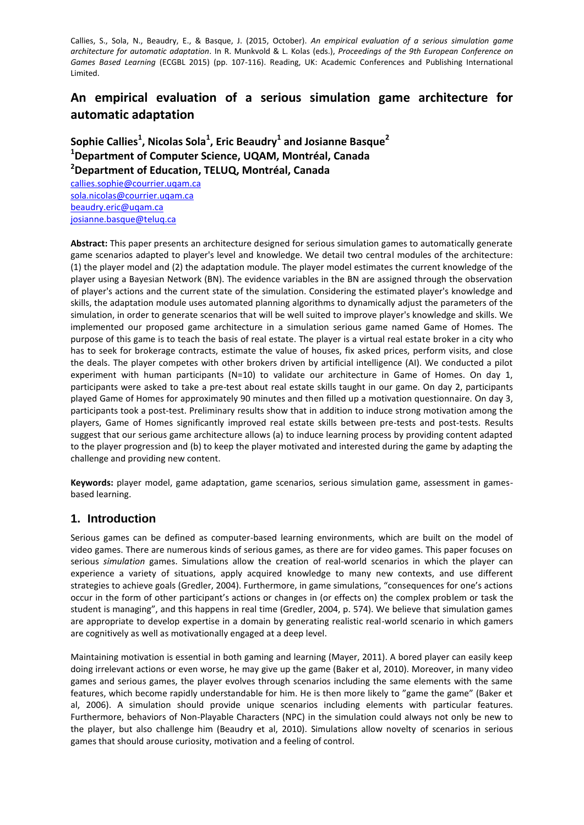Callies, S., Sola, N., Beaudry, E., & Basque, J. (2015, October). *An empirical evaluation of a serious simulation game architecture for automatic adaptation*. In R. Munkvold & L. Kolas (eds.), *Proceedings of the 9th European Conference on Games Based Learning* (ECGBL 2015) (pp. 107-116). Reading, UK: Academic Conferences and Publishing International Limited.

# **An empirical evaluation of a serious simulation game architecture for automatic adaptation**

**Sophie Callies<sup>1</sup> , Nicolas Sola<sup>1</sup> , Eric Beaudry<sup>1</sup> and Josianne Basque<sup>2</sup> <sup>1</sup>Department of Computer Science, UQAM, Montréal, Canada <sup>2</sup>Department of Education, TELUQ, Montréal, Canada**

[callies.sophie@courrier.uqam.ca](mailto:callies.sophie@courrier.uqam.ca) [sola.nicolas@courrier.uqam.ca](mailto:sola.nicolas@courrier.uqam.ca) [beaudry.eric@uqam.ca](mailto:beaudry.eric@uqam.ca) [josianne.basque@teluq.ca](mailto:josianne.basque@teluq.ca)

**Abstract:** This paper presents an architecture designed for serious simulation games to automatically generate game scenarios adapted to player's level and knowledge. We detail two central modules of the architecture: (1) the player model and (2) the adaptation module. The player model estimates the current knowledge of the player using a Bayesian Network (BN). The evidence variables in the BN are assigned through the observation of player's actions and the current state of the simulation. Considering the estimated player's knowledge and skills, the adaptation module uses automated planning algorithms to dynamically adjust the parameters of the simulation, in order to generate scenarios that will be well suited to improve player's knowledge and skills. We implemented our proposed game architecture in a simulation serious game named Game of Homes. The purpose of this game is to teach the basis of real estate. The player is a virtual real estate broker in a city who has to seek for brokerage contracts, estimate the value of houses, fix asked prices, perform visits, and close the deals. The player competes with other brokers driven by artificial intelligence (AI). We conducted a pilot experiment with human participants (N=10) to validate our architecture in Game of Homes. On day 1, participants were asked to take a pre-test about real estate skills taught in our game. On day 2, participants played Game of Homes for approximately 90 minutes and then filled up a motivation questionnaire. On day 3, participants took a post-test. Preliminary results show that in addition to induce strong motivation among the players, Game of Homes significantly improved real estate skills between pre-tests and post-tests. Results suggest that our serious game architecture allows (a) to induce learning process by providing content adapted to the player progression and (b) to keep the player motivated and interested during the game by adapting the challenge and providing new content.

**Keywords:** player model, game adaptation, game scenarios, serious simulation game, assessment in gamesbased learning.

## **1. Introduction**

Serious games can be defined as computer-based learning environments, which are built on the model of video games. There are numerous kinds of serious games, as there are for video games. This paper focuses on serious *simulation* games. Simulations allow the creation of real-world scenarios in which the player can experience a variety of situations, apply acquired knowledge to many new contexts, and use different strategies to achieve goals (Gredler, 2004). Furthermore, in game simulations, "consequences for one's actions occur in the form of other participant's actions or changes in (or effects on) the complex problem or task the student is managing", and this happens in real time (Gredler, 2004, p. 574). We believe that simulation games are appropriate to develop expertise in a domain by generating realistic real-world scenario in which gamers are cognitively as well as motivationally engaged at a deep level.

Maintaining motivation is essential in both gaming and learning (Mayer, 2011). A bored player can easily keep doing irrelevant actions or even worse, he may give up the game (Baker et al, 2010). Moreover, in many video games and serious games, the player evolves through scenarios including the same elements with the same features, which become rapidly understandable for him. He is then more likely to "game the game" (Baker et al, 2006). A simulation should provide unique scenarios including elements with particular features. Furthermore, behaviors of Non-Playable Characters (NPC) in the simulation could always not only be new to the player, but also challenge him (Beaudry et al, 2010). Simulations allow novelty of scenarios in serious games that should arouse curiosity, motivation and a feeling of control.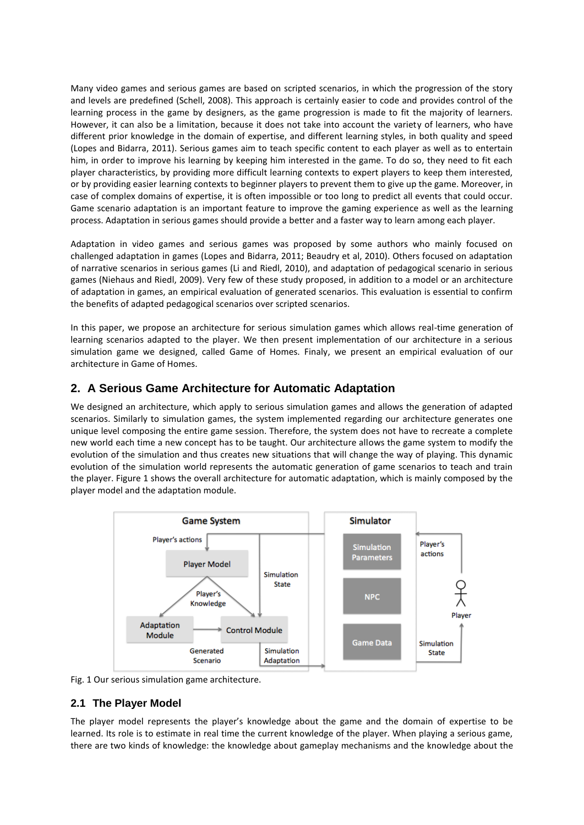Many video games and serious games are based on scripted scenarios, in which the progression of the story and levels are predefined (Schell, 2008). This approach is certainly easier to code and provides control of the learning process in the game by designers, as the game progression is made to fit the majority of learners. However, it can also be a limitation, because it does not take into account the variety of learners, who have different prior knowledge in the domain of expertise, and different learning styles, in both quality and speed (Lopes and Bidarra, 2011). Serious games aim to teach specific content to each player as well as to entertain him, in order to improve his learning by keeping him interested in the game. To do so, they need to fit each player characteristics, by providing more difficult learning contexts to expert players to keep them interested, or by providing easier learning contexts to beginner players to prevent them to give up the game. Moreover, in case of complex domains of expertise, it is often impossible or too long to predict all events that could occur. Game scenario adaptation is an important feature to improve the gaming experience as well as the learning process. Adaptation in serious games should provide a better and a faster way to learn among each player.

Adaptation in video games and serious games was proposed by some authors who mainly focused on challenged adaptation in games (Lopes and Bidarra, 2011; Beaudry et al, 2010). Others focused on adaptation of narrative scenarios in serious games (Li and Riedl, 2010), and adaptation of pedagogical scenario in serious games (Niehaus and Riedl, 2009). Very few of these study proposed, in addition to a model or an architecture of adaptation in games, an empirical evaluation of generated scenarios. This evaluation is essential to confirm the benefits of adapted pedagogical scenarios over scripted scenarios.

In this paper, we propose an architecture for serious simulation games which allows real-time generation of learning scenarios adapted to the player. We then present implementation of our architecture in a serious simulation game we designed, called Game of Homes. Finaly, we present an empirical evaluation of our architecture in Game of Homes.

## **2. A Serious Game Architecture for Automatic Adaptation**

We designed an architecture, which apply to serious simulation games and allows the generation of adapted scenarios. Similarly to simulation games, the system implemented regarding our architecture generates one unique level composing the entire game session. Therefore, the system does not have to recreate a complete new world each time a new concept has to be taught. Our architecture allows the game system to modify the evolution of the simulation and thus creates new situations that will change the way of playing. This dynamic evolution of the simulation world represents the automatic generation of game scenarios to teach and train the player. Figure 1 shows the overall architecture for automatic adaptation, which is mainly composed by the player model and the adaptation module.



Fig. 1 Our serious simulation game architecture.

#### **2.1 The Player Model**

The player model represents the player's knowledge about the game and the domain of expertise to be learned. Its role is to estimate in real time the current knowledge of the player. When playing a serious game, there are two kinds of knowledge: the knowledge about gameplay mechanisms and the knowledge about the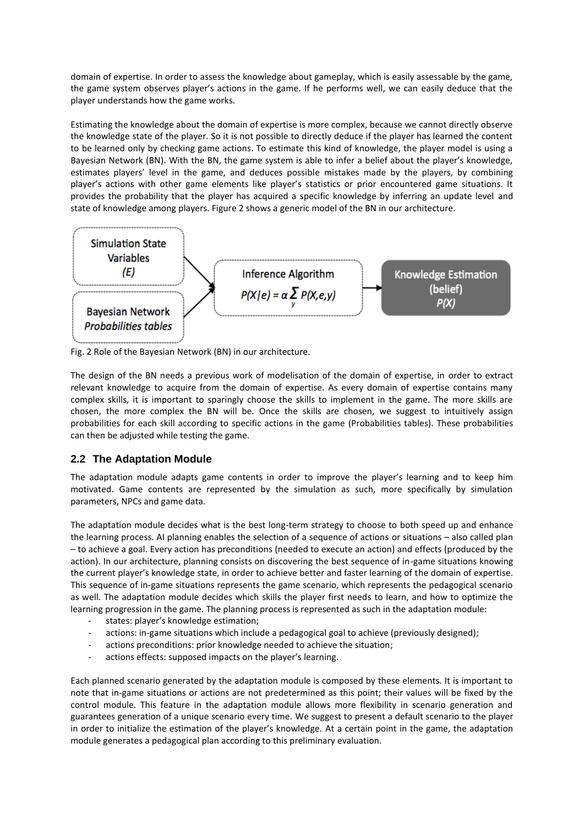domain of expertise. In order to assess the knowledge about gameplay, which is easily assessable by the game, the game system observes player's actions in the game. If he performs well, we can easily deduce that the player understands how the game works.

Estimating the knowledge about the domain of expertise is more complex, because we cannot directly observe the knowledge state of the player. So it is not possible to directly deduce if the player has learned the content to be learned only by checking game actions. To estimate this kind of knowledge, the player model is using a Bayesian Network (BN). With the BN, the game system is able to infer a belief about the player's knowledge, estimates players' level in the game, and deduces possible mistakes made by the players, by combining player's actions with other game elements like player's statistics or prior encountered game situations. It provides the probability that the player has acquired a specific knowledge by inferring an update level and state of knowledge among players. Figure 2 shows a generic model of the BN in our architecture.



Fig. 2 Role of the Bayesian Network (BN) in our architecture.

The design of the BN needs a previous work of modelisation of the domain of expertise, in order to extract relevant knowledge to acquire from the domain of expertise. As every domain of expertise contains many complex skills, it is important to sparingly choose the skills to implement in the game. The more skills are chosen, the more complex the BN will be. Once the skills are chosen, we suggest to intuitively assign probabilities for each skill according to specific actions in the game (Probabilities tables). These probabilities can then be adjusted while testing the game.

## **2.2 The Adaptation Module**

The adaptation module adapts game contents in order to improve the player's learning and to keep him motivated. Game contents are represented by the simulation as such, more specifically by simulation parameters, NPCs and game data.

The adaptation module decides what is the best long-term strategy to choose to both speed up and enhance the learning process. AI planning enables the selection of a sequence of actions or situations – also called plan – to achieve a goal. Every action has preconditions (needed to execute an action) and effects (produced by the action). In our architecture, planning consists on discovering the best sequence of in-game situations knowing the current player's knowledge state, in order to achieve better and faster learning of the domain of expertise. This sequence of in-game situations represents the game scenario, which represents the pedagogical scenario as well. The adaptation module decides which skills the player first needs to learn, and how to optimize the learning progression in the game. The planning process is represented as such in the adaptation module:

- states: player's knowledge estimation;
- actions: in-game situations which include a pedagogical goal to achieve (previously designed);
- actions preconditions: prior knowledge needed to achieve the situation;
- actions effects: supposed impacts on the player's learning.

Each planned scenario generated by the adaptation module is composed by these elements. It is important to note that in-game situations or actions are not predetermined as this point; their values will be fixed by the control module. This feature in the adaptation module allows more flexibility in scenario generation and guarantees generation of a unique scenario every time. We suggest to present a default scenario to the player in order to initialize the estimation of the player's knowledge. At a certain point in the game, the adaptation module generates a pedagogical plan according to this preliminary evaluation.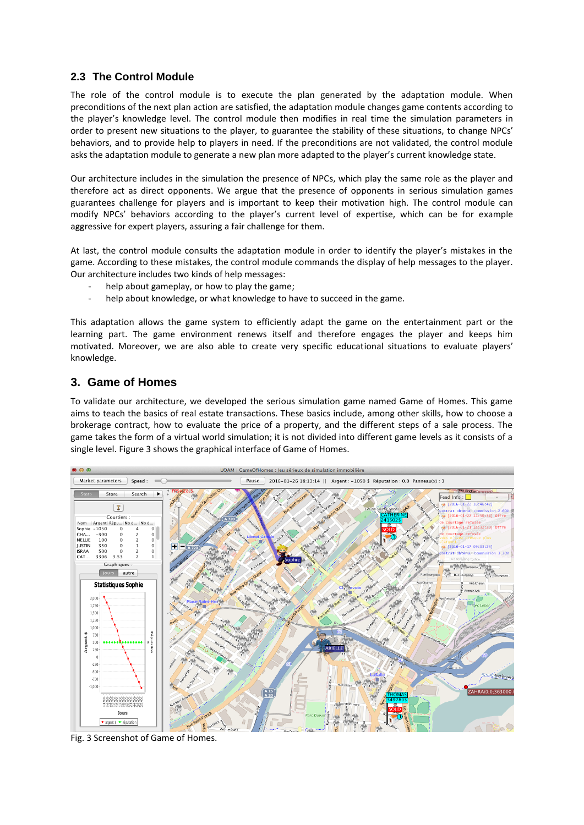## **2.3 The Control Module**

The role of the control module is to execute the plan generated by the adaptation module. When preconditions of the next plan action are satisfied, the adaptation module changes game contents according to the player's knowledge level. The control module then modifies in real time the simulation parameters in order to present new situations to the player, to guarantee the stability of these situations, to change NPCs' behaviors, and to provide help to players in need. If the preconditions are not validated, the control module asks the adaptation module to generate a new plan more adapted to the player's current knowledge state.

Our architecture includes in the simulation the presence of NPCs, which play the same role as the player and therefore act as direct opponents. We argue that the presence of opponents in serious simulation games guarantees challenge for players and is important to keep their motivation high. The control module can modify NPCs' behaviors according to the player's current level of expertise, which can be for example aggressive for expert players, assuring a fair challenge for them.

At last, the control module consults the adaptation module in order to identify the player's mistakes in the game. According to these mistakes, the control module commands the display of help messages to the player. Our architecture includes two kinds of help messages:

- help about gameplay, or how to play the game;
- help about knowledge, or what knowledge to have to succeed in the game.

This adaptation allows the game system to efficiently adapt the game on the entertainment part or the learning part. The game environment renews itself and therefore engages the player and keeps him motivated. Moreover, we are also able to create very specific educational situations to evaluate players' knowledge.

## **3. Game of Homes**

To validate our architecture, we developed the serious simulation game named Game of Homes. This game aims to teach the basics of real estate transactions. These basics include, among other skills, how to choose a brokerage contract, how to evaluate the price of a property, and the different steps of a sale process. The game takes the form of a virtual world simulation; it is not divided into different game levels as it consists of a single level. Figure 3 shows the graphical interface of Game of Homes.



Fig. 3 Screenshot of Game of Homes.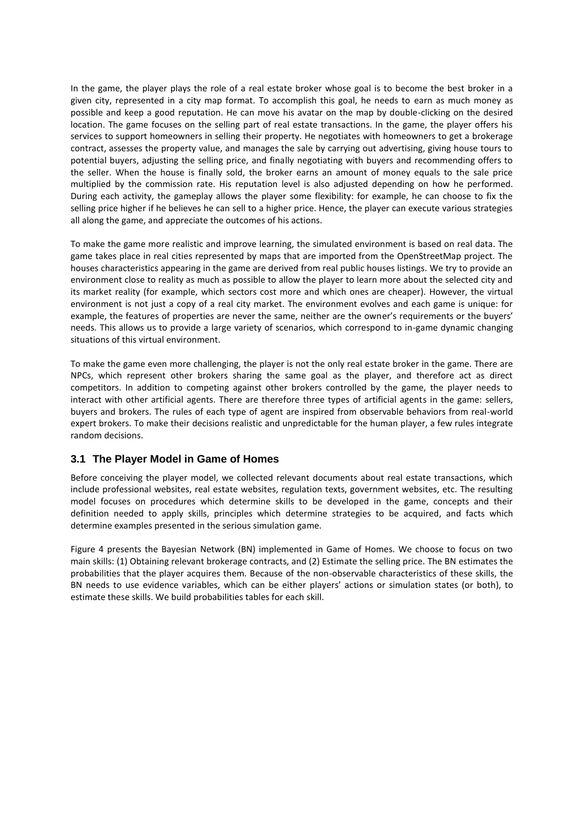In the game, the player plays the role of a real estate broker whose goal is to become the best broker in a given city, represented in a city map format. To accomplish this goal, he needs to earn as much money as possible and keep a good reputation. He can move his avatar on the map by double-clicking on the desired location. The game focuses on the selling part of real estate transactions. In the game, the player offers his services to support homeowners in selling their property. He negotiates with homeowners to get a brokerage contract, assesses the property value, and manages the sale by carrying out advertising, giving house tours to potential buyers, adjusting the selling price, and finally negotiating with buyers and recommending offers to the seller. When the house is finally sold, the broker earns an amount of money equals to the sale price multiplied by the commission rate. His reputation level is also adjusted depending on how he performed. During each activity, the gameplay allows the player some flexibility: for example, he can choose to fix the selling price higher if he believes he can sell to a higher price. Hence, the player can execute various strategies all along the game, and appreciate the outcomes of his actions.

To make the game more realistic and improve learning, the simulated environment is based on real data. The game takes place in real cities represented by maps that are imported from the OpenStreetMap project. The houses characteristics appearing in the game are derived from real public houses listings. We try to provide an environment close to reality as much as possible to allow the player to learn more about the selected city and its market reality (for example, which sectors cost more and which ones are cheaper). However, the virtual environment is not just a copy of a real city market. The environment evolves and each game is unique: for example, the features of properties are never the same, neither are the owner's requirements or the buyers' needs. This allows us to provide a large variety of scenarios, which correspond to in-game dynamic changing situations of this virtual environment.

To make the game even more challenging, the player is not the only real estate broker in the game. There are NPCs, which represent other brokers sharing the same goal as the player, and therefore act as direct competitors. In addition to competing against other brokers controlled by the game, the player needs to interact with other artificial agents. There are therefore three types of artificial agents in the game: sellers, buyers and brokers. The rules of each type of agent are inspired from observable behaviors from real-world expert brokers. To make their decisions realistic and unpredictable for the human player, a few rules integrate random decisions.

## **3.1 The Player Model in Game of Homes**

Before conceiving the player model, we collected relevant documents about real estate transactions, which include professional websites, real estate websites, regulation texts, government websites, etc. The resulting model focuses on procedures which determine skills to be developed in the game, concepts and their definition needed to apply skills, principles which determine strategies to be acquired, and facts which determine examples presented in the serious simulation game.

Figure 4 presents the Bayesian Network (BN) implemented in Game of Homes. We choose to focus on two main skills: (1) Obtaining relevant brokerage contracts, and (2) Estimate the selling price. The BN estimates the probabilities that the player acquires them. Because of the non-observable characteristics of these skills, the BN needs to use evidence variables, which can be either players' actions or simulation states (or both), to estimate these skills. We build probabilities tables for each skill.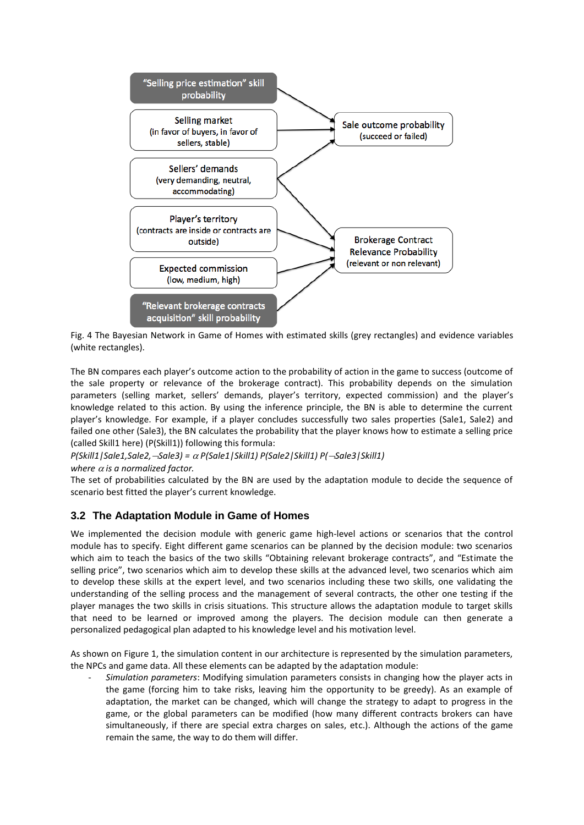

Fig. 4 The Bayesian Network in Game of Homes with estimated skills (grey rectangles) and evidence variables (white rectangles).

The BN compares each player's outcome action to the probability of action in the game to success (outcome of the sale property or relevance of the brokerage contract). This probability depends on the simulation parameters (selling market, sellers' demands, player's territory, expected commission) and the player's knowledge related to this action. By using the inference principle, the BN is able to determine the current player's knowledge. For example, if a player concludes successfully two sales properties (Sale1, Sale2) and failed one other (Sale3), the BN calculates the probability that the player knows how to estimate a selling price (called Skill1 here) (P(Skill1)) following this formula:

*P(Skill1|Sale1,Sale2,Sale3) = P(Sale1|Skill1) P(Sale2|Skill1) P(Sale3|Skill1)* 

where  $\alpha$  is a normalized factor.

The set of probabilities calculated by the BN are used by the adaptation module to decide the sequence of scenario best fitted the player's current knowledge.

## **3.2 The Adaptation Module in Game of Homes**

We implemented the decision module with generic game high-level actions or scenarios that the control module has to specify. Eight different game scenarios can be planned by the decision module: two scenarios which aim to teach the basics of the two skills "Obtaining relevant brokerage contracts", and "Estimate the selling price", two scenarios which aim to develop these skills at the advanced level, two scenarios which aim to develop these skills at the expert level, and two scenarios including these two skills, one validating the understanding of the selling process and the management of several contracts, the other one testing if the player manages the two skills in crisis situations. This structure allows the adaptation module to target skills that need to be learned or improved among the players. The decision module can then generate a personalized pedagogical plan adapted to his knowledge level and his motivation level.

As shown on Figure 1, the simulation content in our architecture is represented by the simulation parameters, the NPCs and game data. All these elements can be adapted by the adaptation module:

- *Simulation parameters*: Modifying simulation parameters consists in changing how the player acts in the game (forcing him to take risks, leaving him the opportunity to be greedy). As an example of adaptation, the market can be changed, which will change the strategy to adapt to progress in the game, or the global parameters can be modified (how many different contracts brokers can have simultaneously, if there are special extra charges on sales, etc.). Although the actions of the game remain the same, the way to do them will differ.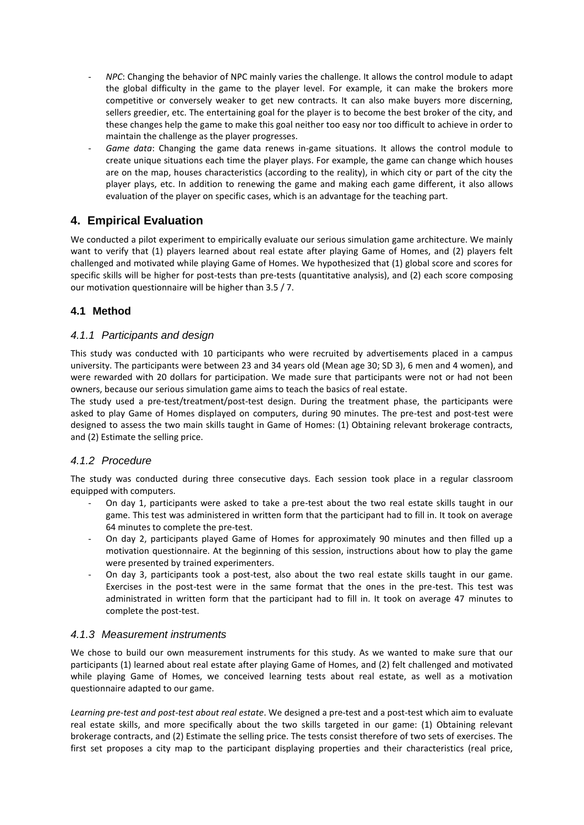- *NPC*: Changing the behavior of NPC mainly varies the challenge. It allows the control module to adapt the global difficulty in the game to the player level. For example, it can make the brokers more competitive or conversely weaker to get new contracts. It can also make buyers more discerning, sellers greedier, etc. The entertaining goal for the player is to become the best broker of the city, and these changes help the game to make this goal neither too easy nor too difficult to achieve in order to maintain the challenge as the player progresses.
- *Game data*: Changing the game data renews in-game situations. It allows the control module to create unique situations each time the player plays. For example, the game can change which houses are on the map, houses characteristics (according to the reality), in which city or part of the city the player plays, etc. In addition to renewing the game and making each game different, it also allows evaluation of the player on specific cases, which is an advantage for the teaching part.

## **4. Empirical Evaluation**

We conducted a pilot experiment to empirically evaluate our serious simulation game architecture. We mainly want to verify that (1) players learned about real estate after playing Game of Homes, and (2) players felt challenged and motivated while playing Game of Homes. We hypothesized that (1) global score and scores for specific skills will be higher for post-tests than pre-tests (quantitative analysis), and (2) each score composing our motivation questionnaire will be higher than 3.5 / 7.

## **4.1 Method**

## *4.1.1 Participants and design*

This study was conducted with 10 participants who were recruited by advertisements placed in a campus university. The participants were between 23 and 34 years old (Mean age 30; SD 3), 6 men and 4 women), and were rewarded with 20 dollars for participation. We made sure that participants were not or had not been owners, because our serious simulation game aims to teach the basics of real estate.

The study used a pre-test/treatment/post-test design. During the treatment phase, the participants were asked to play Game of Homes displayed on computers, during 90 minutes. The pre-test and post-test were designed to assess the two main skills taught in Game of Homes: (1) Obtaining relevant brokerage contracts, and (2) Estimate the selling price.

## *4.1.2 Procedure*

The study was conducted during three consecutive days. Each session took place in a regular classroom equipped with computers.

- On day 1, participants were asked to take a pre-test about the two real estate skills taught in our game. This test was administered in written form that the participant had to fill in. It took on average 64 minutes to complete the pre-test.
- On day 2, participants played Game of Homes for approximately 90 minutes and then filled up a motivation questionnaire. At the beginning of this session, instructions about how to play the game were presented by trained experimenters.
- On day 3, participants took a post-test, also about the two real estate skills taught in our game. Exercises in the post-test were in the same format that the ones in the pre-test. This test was administrated in written form that the participant had to fill in. It took on average 47 minutes to complete the post-test.

#### *4.1.3 Measurement instruments*

We chose to build our own measurement instruments for this study. As we wanted to make sure that our participants (1) learned about real estate after playing Game of Homes, and (2) felt challenged and motivated while playing Game of Homes, we conceived learning tests about real estate, as well as a motivation questionnaire adapted to our game.

*Learning pre-test and post-test about real estate*. We designed a pre-test and a post-test which aim to evaluate real estate skills, and more specifically about the two skills targeted in our game: (1) Obtaining relevant brokerage contracts, and (2) Estimate the selling price. The tests consist therefore of two sets of exercises. The first set proposes a city map to the participant displaying properties and their characteristics (real price,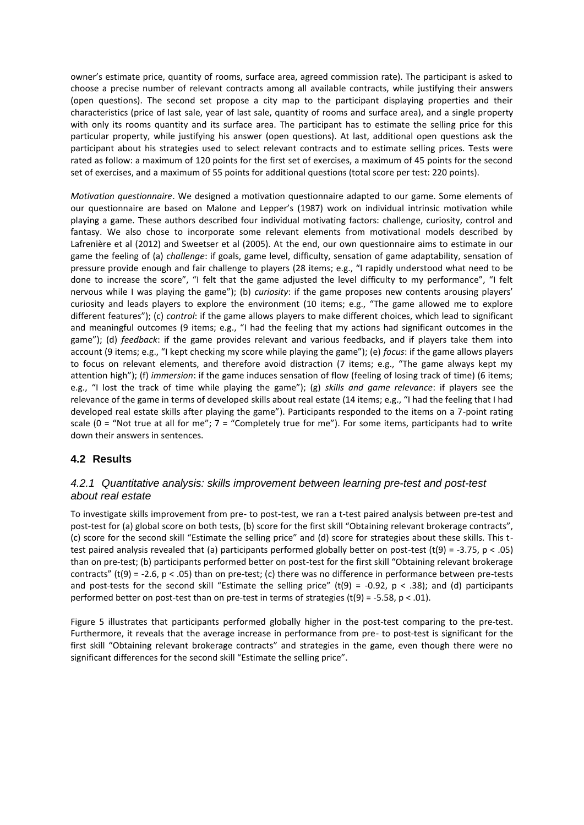owner's estimate price, quantity of rooms, surface area, agreed commission rate). The participant is asked to choose a precise number of relevant contracts among all available contracts, while justifying their answers (open questions). The second set propose a city map to the participant displaying properties and their characteristics (price of last sale, year of last sale, quantity of rooms and surface area), and a single property with only its rooms quantity and its surface area. The participant has to estimate the selling price for this particular property, while justifying his answer (open questions). At last, additional open questions ask the participant about his strategies used to select relevant contracts and to estimate selling prices. Tests were rated as follow: a maximum of 120 points for the first set of exercises, a maximum of 45 points for the second set of exercises, and a maximum of 55 points for additional questions (total score per test: 220 points).

*Motivation questionnaire*. We designed a motivation questionnaire adapted to our game. Some elements of our questionnaire are based on Malone and Lepper's (1987) work on individual intrinsic motivation while playing a game. These authors described four individual motivating factors: challenge, curiosity, control and fantasy. We also chose to incorporate some relevant elements from motivational models described by Lafrenière et al (2012) and Sweetser et al (2005). At the end, our own questionnaire aims to estimate in our game the feeling of (a) *challenge*: if goals, game level, difficulty, sensation of game adaptability, sensation of pressure provide enough and fair challenge to players (28 items; e.g., "I rapidly understood what need to be done to increase the score", "I felt that the game adjusted the level difficulty to my performance", "I felt nervous while I was playing the game"); (b) *curiosity*: if the game proposes new contents arousing players' curiosity and leads players to explore the environment (10 items; e.g., "The game allowed me to explore different features"); (c) *control*: if the game allows players to make different choices, which lead to significant and meaningful outcomes (9 items; e.g., "I had the feeling that my actions had significant outcomes in the game"); (d) *feedback*: if the game provides relevant and various feedbacks, and if players take them into account (9 items; e.g., "I kept checking my score while playing the game"); (e) *focus*: if the game allows players to focus on relevant elements, and therefore avoid distraction (7 items; e.g., "The game always kept my attention high"); (f) *immersion*: if the game induces sensation of flow (feeling of losing track of time) (6 items; e.g., "I lost the track of time while playing the game"); (g) *skills and game relevance*: if players see the relevance of the game in terms of developed skills about real estate (14 items; e.g., "I had the feeling that I had developed real estate skills after playing the game"). Participants responded to the items on a 7-point rating scale (0 = "Not true at all for me";  $7 =$  "Completely true for me"). For some items, participants had to write down their answers in sentences.

#### **4.2 Results**

#### *4.2.1 Quantitative analysis: skills improvement between learning pre-test and post-test about real estate*

To investigate skills improvement from pre- to post-test, we ran a t-test paired analysis between pre-test and post-test for (a) global score on both tests, (b) score for the first skill "Obtaining relevant brokerage contracts", (c) score for the second skill "Estimate the selling price" and (d) score for strategies about these skills. This ttest paired analysis revealed that (a) participants performed globally better on post-test (t(9) = -3.75, p < .05) than on pre-test; (b) participants performed better on post-test for the first skill "Obtaining relevant brokerage contracts" (t(9) = -2.6,  $p < .05$ ) than on pre-test; (c) there was no difference in performance between pre-tests and post-tests for the second skill "Estimate the selling price" (t(9) = -0.92, p < .38); and (d) participants performed better on post-test than on pre-test in terms of strategies (t(9) = -5.58, p < .01).

Figure 5 illustrates that participants performed globally higher in the post-test comparing to the pre-test. Furthermore, it reveals that the average increase in performance from pre- to post-test is significant for the first skill "Obtaining relevant brokerage contracts" and strategies in the game, even though there were no significant differences for the second skill "Estimate the selling price".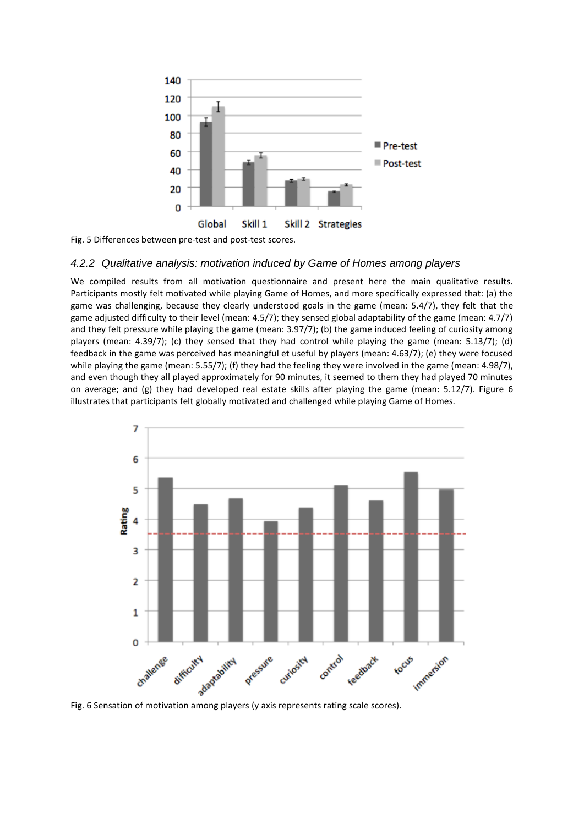

Fig. 5 Differences between pre-test and post-test scores.

#### *4.2.2 Qualitative analysis: motivation induced by Game of Homes among players*

We compiled results from all motivation questionnaire and present here the main qualitative results. Participants mostly felt motivated while playing Game of Homes, and more specifically expressed that: (a) the game was challenging, because they clearly understood goals in the game (mean: 5.4/7), they felt that the game adjusted difficulty to their level (mean: 4.5/7); they sensed global adaptability of the game (mean: 4.7/7) and they felt pressure while playing the game (mean: 3.97/7); (b) the game induced feeling of curiosity among players (mean: 4.39/7); (c) they sensed that they had control while playing the game (mean: 5.13/7); (d) feedback in the game was perceived has meaningful et useful by players (mean: 4.63/7); (e) they were focused while playing the game (mean: 5.55/7); (f) they had the feeling they were involved in the game (mean: 4.98/7), and even though they all played approximately for 90 minutes, it seemed to them they had played 70 minutes on average; and (g) they had developed real estate skills after playing the game (mean: 5.12/7). Figure 6 illustrates that participants felt globally motivated and challenged while playing Game of Homes.